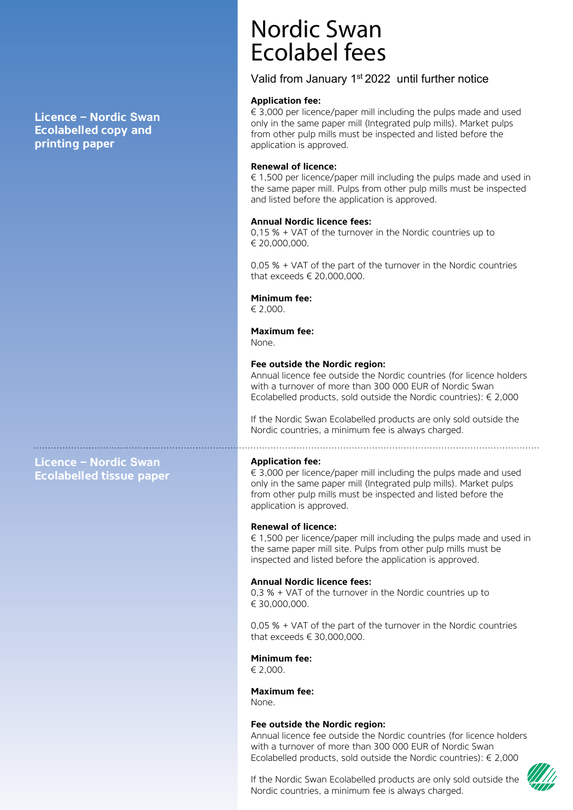**Licence – Nordic Swan Ecolabelled copy and printing paper**

Nordic Swan Ecolabel fees

## Valid from January 1st 2022 until further notice

#### **Application fee:**

 $\in$  3,000 per licence/paper mill including the pulps made and used only in the same paper mill (Integrated pulp mills). Market pulps from other pulp mills must be inspected and listed before the application is approved.

#### **Renewal of licence:**

 $\epsilon$  1,500 per licence/paper mill including the pulps made and used in the same paper mill. Pulps from other pulp mills must be inspected and listed before the application is approved.

#### **Annual Nordic licence fees:**

0,15 % + VAT of the turnover in the Nordic countries up to € 20,000,000.

0,05 % + VAT of the part of the turnover in the Nordic countries that exceeds € 20,000,000.

#### **Minimum fee:**

€ 2,000.

## **Maximum fee:**

None.

#### **Fee outside the Nordic region:**

Annual licence fee outside the Nordic countries (for licence holders<br>with a turnover of more than 300 000 EUR of Nordic Swan<br>Ecolabelled products, sold outside the Nordic countries):  $\epsilon$  2,000<br>If the Nordic Swan Ecolabel

**Licence – Nordic Swan Ecolabelled tissue paper** 

#### **Application fee:**

 $\in$  3,000 per licence/paper mill including the pulps made and used only in the same paper mill (Integrated pulp mills). Market pulps from other pulp mills must be inspected and listed before the application is approved.

#### **Renewal of licence:**

€ 1,500 per licence/paper mill including the pulps made and used in the same paper mill site. Pulps from other pulp mills must be inspected and listed before the application is approved.

#### **Annual Nordic licence fees:**

0,3 % + VAT of the turnover in the Nordic countries up to € 30,000,000.

0,05 % + VAT of the part of the turnover in the Nordic countries that exceeds € 30,000,000.

**Minimum fee:**

€ 2,000.

**Maximum fee:** None.

#### **Fee outside the Nordic region:**

Annual licence fee outside the Nordic countries (for licence holders<br>with a turnover of more than 300 000 EUR of Nordic Swan<br>Ecolabelled products, sold outside the Nordic countries):  $\epsilon$  2,000<br>If the Nordic Swan Ecolabel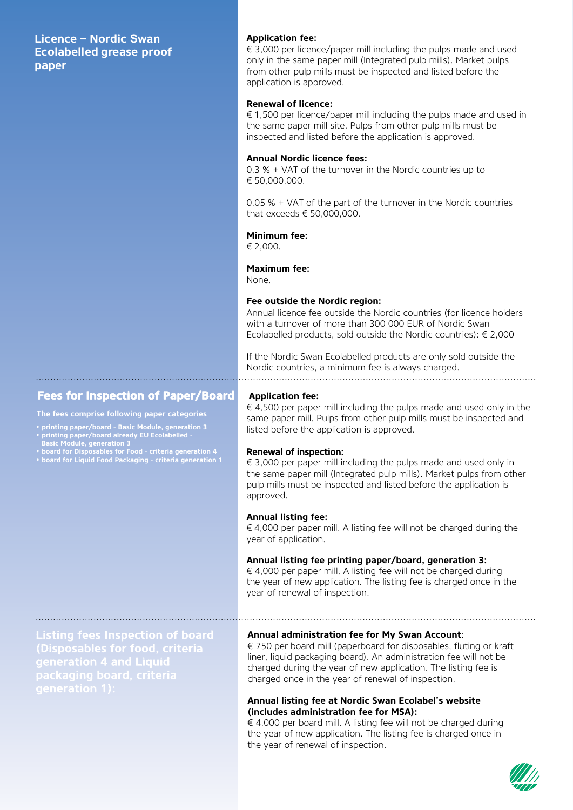**Licence – Nordic Swan Ecolabelled grease proof paper** 

### **Fees for Inspection of Paper/Board Application fee:**

#### **The fees comprise following paper categories**

- **• printing paper/board Basic Module, generation 3**
- **• printing paper/board already EU Ecolabelled -**
- **Basic Module, generation 3 • board for Disposables for Food criteria generation 4**
- **• board for Liquid Food Packaging criteria generation 1**

#### **Application fee:**

 $\in$  3,000 per licence/paper mill including the pulps made and used only in the same paper mill (Integrated pulp mills). Market pulps from other pulp mills must be inspected and listed before the application is approved.

#### **Renewal of licence:**

 $\epsilon$  1,500 per licence/paper mill including the pulps made and used in the same paper mill site. Pulps from other pulp mills must be inspected and listed before the application is approved.

#### **Annual Nordic licence fees:**

0,3 % + VAT of the turnover in the Nordic countries up to € 50,000,000.

0,05 % + VAT of the part of the turnover in the Nordic countries that exceeds € 50,000,000.

#### **Minimum fee:**

€ 2,000.

#### **Maximum fee:**

None.

**Fee outside the Nordic region:** with a turnover of more than 300 000 EUR of Nordic Swan<br>Ecolabelled products, sold outside the Nordic countries):  $\epsilon$  2,000<br>If the Nordic Swan Ecolabelled products are only sold outside the<br>Nordic countries, a minimum fe

 $\epsilon$  4,500 per paper mill including the pulps made and used only in the same paper mill. Pulps from other pulp mills must be inspected and listed before the application is approved.

#### Renewal of inspection:

#### **Annual listing fee:**

€ 4,000 per paper mill. A listing fee will not be charged during the year of application.

#### **Annual listing fee printing paper/board, generation 3:**

 $\in$  4,000 per paper mill. A listing fee will not be charged during the year of new application. The listing fee is charged once in the year of renewal of inspection.

**Listing fees Inspection of board (Disposables for food, criteria** 

**Annual administration fee for My Swan Account**: € 750 per board mill (paperboard for disposables, fluting or kraft liner, liquid packaging board). An administration fee will not be charged during the year of new application. The listing fee is charged once in the year of renewal of inspection.

#### **Annual listing fee at Nordic Swan Ecolabel's website (includes administration fee for MSA):**

 $\epsilon$  4,000 per board mill. A listing fee will not be charged during the year of new application. The listing fee is charged once in the year of renewal of inspection.